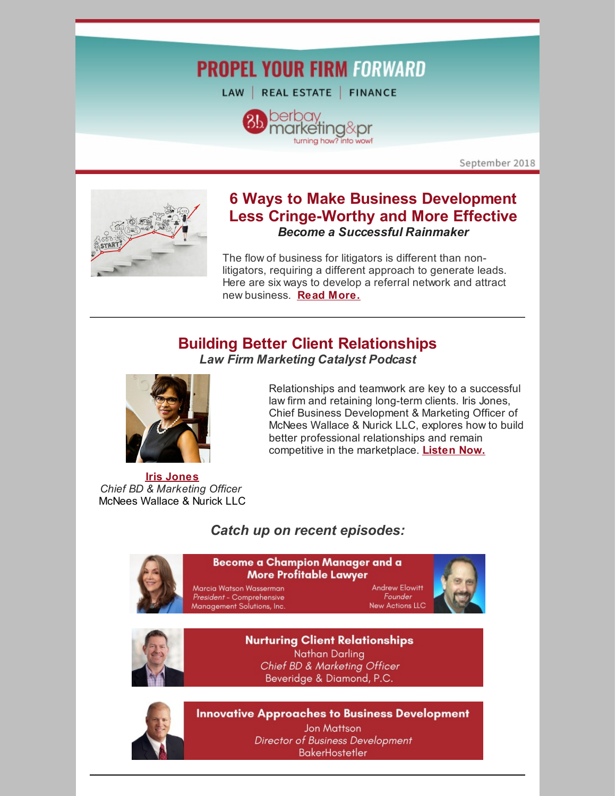# **PROPEL YOUR FIRM FORWARD**

LAW | REAL ESTATE | FINANCE



September 2018



### **6 Ways to Make Business Development Less Cringe-Worthy and More Effective** *Become a Successful Rainmaker*

The flow of business for litigators is different than nonlitigators, requiring a different approach to generate leads. Here are six ways to develop a referral network and attract new business. **Read [More.](https://www.berbay.com/how-lawyers-can-make-business-development-less-cringe-worthy-and-more-effective/)**

## **Building Better Client Relationships**



Relationships and teamwork are key to a successful law firm and retaining long-term clients. Iris Jones, Chief Business Development & Marketing Officer of McNees Wallace & Nurick LLC, explores how to build better professional relationships and remain competitive in the marketplace. **[Listen](http://bit.ly/LFMCPiris) Now.**

**Iris [Jones](https://www.mcneeslaw.com/people/iris-jones/)** *Chief BD & Marketing Officer* McNees Wallace & Nurick LLC

### *Catch up on recent episodes:*



#### Become a Champion Manager and a **More Profitable Lawyer**

Marcia Watson Wasserman President - Comprehensive Management Solutions, Inc.

Andrew Elowitt Founder **New Actions LLC** 





**Nurturing Client Relationships Nathan Darling** Chief BD & Marketing Officer Beveridge & Diamond, P.C.



**Innovative Approaches to Business Development** 

Jon Mattson Director of Business Development **BakerHostetler**